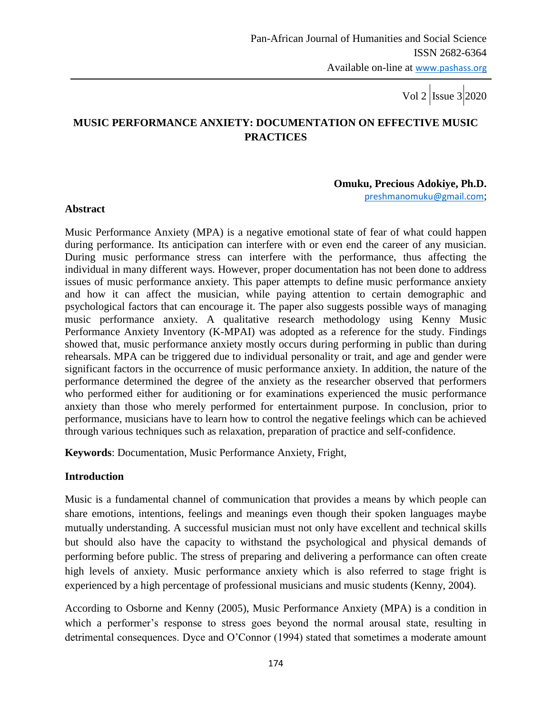# **MUSIC PERFORMANCE ANXIETY: DOCUMENTATION ON EFFECTIVE MUSIC PRACTICES**

#### **Omuku, Precious Adokiye, Ph.D.**

[preshmanomuku@gmail.com](mailto:preshmanomuku@gmail.com);

#### **Abstract**

Music Performance Anxiety (MPA) is a negative emotional state of fear of what could happen during performance. Its anticipation can interfere with or even end the career of any musician. During music performance stress can interfere with the performance, thus affecting the individual in many different ways. However, proper documentation has not been done to address issues of music performance anxiety. This paper attempts to define music performance anxiety and how it can affect the musician, while paying attention to certain demographic and psychological factors that can encourage it. The paper also suggests possible ways of managing music performance anxiety. A qualitative research methodology using Kenny Music Performance Anxiety Inventory (K-MPAI) was adopted as a reference for the study. Findings showed that, music performance anxiety mostly occurs during performing in public than during rehearsals. MPA can be triggered due to individual personality or trait, and age and gender were significant factors in the occurrence of music performance anxiety. In addition, the nature of the performance determined the degree of the anxiety as the researcher observed that performers who performed either for auditioning or for examinations experienced the music performance anxiety than those who merely performed for entertainment purpose. In conclusion, prior to performance, musicians have to learn how to control the negative feelings which can be achieved through various techniques such as relaxation, preparation of practice and self-confidence.

**Keywords**: Documentation, Music Performance Anxiety, Fright,

#### **Introduction**

Music is a fundamental channel of communication that provides a means by which people can share emotions, intentions, feelings and meanings even though their spoken languages maybe mutually understanding. A successful musician must not only have excellent and technical skills but should also have the capacity to withstand the psychological and physical demands of performing before public. The stress of preparing and delivering a performance can often create high levels of anxiety. Music performance anxiety which is also referred to stage fright is experienced by a high percentage of professional musicians and music students (Kenny, 2004).

According to Osborne and Kenny (2005), Music Performance Anxiety (MPA) is a condition in which a performer's response to stress goes beyond the normal arousal state, resulting in detrimental consequences. Dyce and O"Connor (1994) stated that sometimes a moderate amount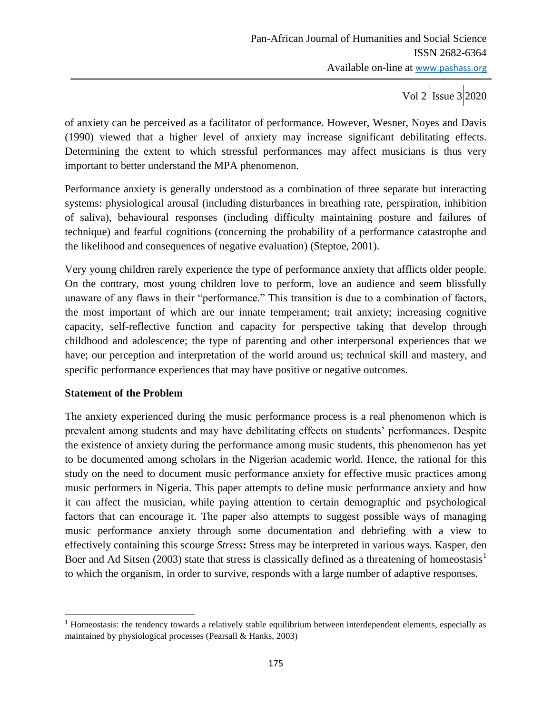of anxiety can be perceived as a facilitator of performance. However, Wesner, Noyes and Davis (1990) viewed that a higher level of anxiety may increase significant debilitating effects. Determining the extent to which stressful performances may affect musicians is thus very important to better understand the MPA phenomenon.

Performance anxiety is generally understood as a combination of three separate but interacting systems: physiological arousal (including disturbances in breathing rate, perspiration, inhibition of saliva), behavioural responses (including difficulty maintaining posture and failures of technique) and fearful cognitions (concerning the probability of a performance catastrophe and the likelihood and consequences of negative evaluation) (Steptoe, 2001).

Very young children rarely experience the type of performance anxiety that afflicts older people. On the contrary, most young children love to perform, love an audience and seem blissfully unaware of any flaws in their "performance." This transition is due to a combination of factors, the most important of which are our innate temperament; trait anxiety; increasing cognitive capacity, self-reflective function and capacity for perspective taking that develop through childhood and adolescence; the type of parenting and other interpersonal experiences that we have; our perception and interpretation of the world around us; technical skill and mastery, and specific performance experiences that may have positive or negative outcomes.

### **Statement of the Problem**

The anxiety experienced during the music performance process is a real phenomenon which is prevalent among students and may have debilitating effects on students' performances. Despite the existence of anxiety during the performance among music students, this phenomenon has yet to be documented among scholars in the Nigerian academic world. Hence, the rational for this study on the need to document music performance anxiety for effective music practices among music performers in Nigeria. This paper attempts to define music performance anxiety and how it can affect the musician, while paying attention to certain demographic and psychological factors that can encourage it. The paper also attempts to suggest possible ways of managing music performance anxiety through some documentation and debriefing with a view to effectively containing this scourge *Stress***:** Stress may be interpreted in various ways. Kasper, den Boer and Ad Sitsen (2003) state that stress is classically defined as a threatening of homeostasis<sup>1</sup> to which the organism, in order to survive, responds with a large number of adaptive responses.

 $\overline{\phantom{a}}$  $<sup>1</sup>$  Homeostasis: the tendency towards a relatively stable equilibrium between interdependent elements, especially as</sup> maintained by physiological processes (Pearsall & Hanks, 2003)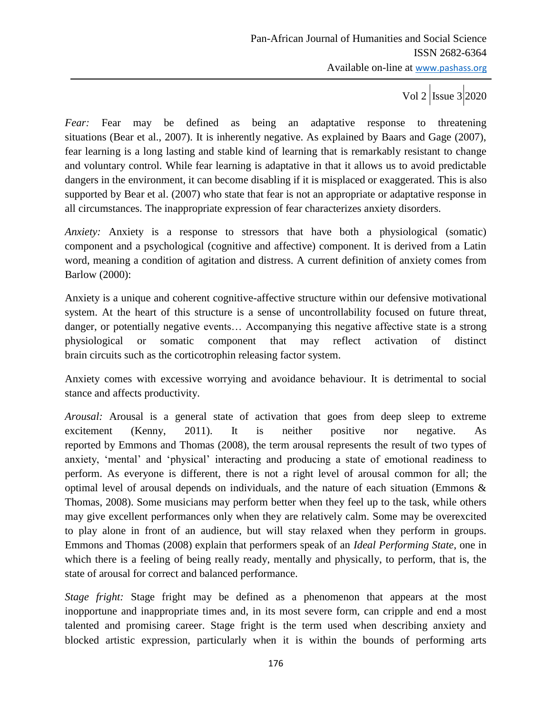*Fear:* Fear may be defined as being an adaptative response to threatening situations (Bear et al., 2007). It is inherently negative. As explained by Baars and Gage (2007), fear learning is a long lasting and stable kind of learning that is remarkably resistant to change and voluntary control. While fear learning is adaptative in that it allows us to avoid predictable dangers in the environment, it can become disabling if it is misplaced or exaggerated. This is also supported by Bear et al. (2007) who state that fear is not an appropriate or adaptative response in all circumstances. The inappropriate expression of fear characterizes anxiety disorders.

*Anxiety:* Anxiety is a response to stressors that have both a physiological (somatic) component and a psychological (cognitive and affective) component. It is derived from a Latin word, meaning a condition of agitation and distress. A current definition of anxiety comes from Barlow (2000):

Anxiety is a unique and coherent cognitive-affective structure within our defensive motivational system. At the heart of this structure is a sense of uncontrollability focused on future threat, danger, or potentially negative events… Accompanying this negative affective state is a strong physiological or somatic component that may reflect activation of distinct brain circuits such as the corticotrophin releasing factor system.

Anxiety comes with excessive worrying and avoidance behaviour. It is detrimental to social stance and affects productivity.

*Arousal:* Arousal is a general state of activation that goes from deep sleep to extreme excitement (Kenny, 2011). It is neither positive nor negative. As reported by Emmons and Thomas (2008), the term arousal represents the result of two types of anxiety, "mental" and "physical" interacting and producing a state of emotional readiness to perform. As everyone is different, there is not a right level of arousal common for all; the optimal level of arousal depends on individuals, and the nature of each situation (Emmons & Thomas, 2008). Some musicians may perform better when they feel up to the task, while others may give excellent performances only when they are relatively calm. Some may be overexcited to play alone in front of an audience, but will stay relaxed when they perform in groups. Emmons and Thomas (2008) explain that performers speak of an *Ideal Performing State*, one in which there is a feeling of being really ready, mentally and physically, to perform, that is, the state of arousal for correct and balanced performance.

*Stage fright:* Stage fright may be defined as a phenomenon that appears at the most inopportune and inappropriate times and, in its most severe form, can cripple and end a most talented and promising career. Stage fright is the term used when describing anxiety and blocked artistic expression, particularly when it is within the bounds of performing arts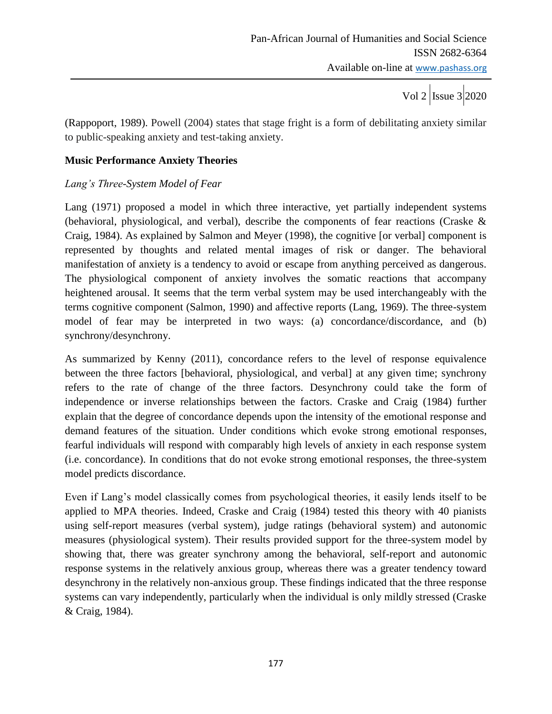Vol 2  $\vert$ Issue 3 2020

(Rappoport, 1989). Powell (2004) states that stage fright is a form of debilitating anxiety similar to public-speaking anxiety and test-taking anxiety.

### **Music Performance Anxiety Theories**

### *Lang's Three-System Model of Fear*

Lang (1971) proposed a model in which three interactive, yet partially independent systems (behavioral, physiological, and verbal), describe the components of fear reactions (Craske & Craig, 1984). As explained by Salmon and Meyer (1998), the cognitive [or verbal] component is represented by thoughts and related mental images of risk or danger. The behavioral manifestation of anxiety is a tendency to avoid or escape from anything perceived as dangerous. The physiological component of anxiety involves the somatic reactions that accompany heightened arousal. It seems that the term verbal system may be used interchangeably with the terms cognitive component (Salmon, 1990) and affective reports (Lang, 1969). The three-system model of fear may be interpreted in two ways: (a) concordance/discordance, and (b) synchrony/desynchrony.

As summarized by Kenny (2011), concordance refers to the level of response equivalence between the three factors [behavioral, physiological, and verbal] at any given time; synchrony refers to the rate of change of the three factors. Desynchrony could take the form of independence or inverse relationships between the factors. Craske and Craig (1984) further explain that the degree of concordance depends upon the intensity of the emotional response and demand features of the situation. Under conditions which evoke strong emotional responses, fearful individuals will respond with comparably high levels of anxiety in each response system (i.e. concordance). In conditions that do not evoke strong emotional responses, the three-system model predicts discordance.

Even if Lang"s model classically comes from psychological theories, it easily lends itself to be applied to MPA theories. Indeed, Craske and Craig (1984) tested this theory with 40 pianists using self-report measures (verbal system), judge ratings (behavioral system) and autonomic measures (physiological system). Their results provided support for the three-system model by showing that, there was greater synchrony among the behavioral, self-report and autonomic response systems in the relatively anxious group, whereas there was a greater tendency toward desynchrony in the relatively non-anxious group. These findings indicated that the three response systems can vary independently, particularly when the individual is only mildly stressed (Craske & Craig, 1984).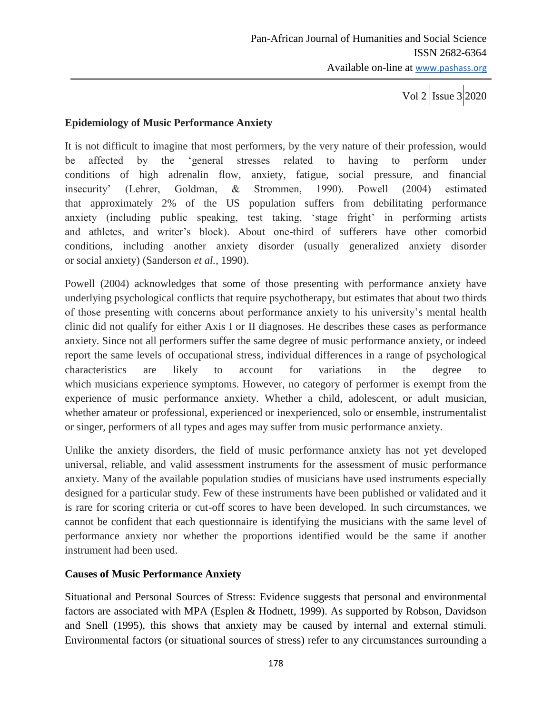### **Epidemiology of Music Performance Anxiety**

It is not difficult to imagine that most performers, by the very nature of their profession, would be affected by the "general stresses related to having to perform under conditions of high adrenalin flow, anxiety, fatigue, social pressure, and financial insecurity" (Lehrer, Goldman, & Strommen, 1990). Powell (2004) estimated that approximately 2% of the US population suffers from debilitating performance anxiety (including public speaking, test taking, 'stage fright' in performing artists and athletes, and writer's block). About one-third of sufferers have other comorbid conditions, including another anxiety disorder (usually generalized anxiety disorder or social anxiety) (Sanderson *et al.*, 1990).

Powell (2004) acknowledges that some of those presenting with performance anxiety have underlying psychological conflicts that require psychotherapy, but estimates that about two thirds of those presenting with concerns about performance anxiety to his university"s mental health clinic did not qualify for either Axis I or II diagnoses. He describes these cases as performance anxiety. Since not all performers suffer the same degree of music performance anxiety, or indeed report the same levels of occupational stress, individual differences in a range of psychological characteristics are likely to account for variations in the degree to which musicians experience symptoms. However, no category of performer is exempt from the experience of music performance anxiety. Whether a child, adolescent, or adult musician, whether amateur or professional, experienced or inexperienced, solo or ensemble, instrumentalist or singer, performers of all types and ages may suffer from music performance anxiety.

Unlike the anxiety disorders, the field of music performance anxiety has not yet developed universal, reliable, and valid assessment instruments for the assessment of music performance anxiety. Many of the available population studies of musicians have used instruments especially designed for a particular study. Few of these instruments have been published or validated and it is rare for scoring criteria or cut-off scores to have been developed. In such circumstances, we cannot be confident that each questionnaire is identifying the musicians with the same level of performance anxiety nor whether the proportions identified would be the same if another instrument had been used.

#### **Causes of Music Performance Anxiety**

Situational and Personal Sources of Stress: Evidence suggests that personal and environmental factors are associated with MPA (Esplen & Hodnett, 1999). As supported by Robson, Davidson and Snell (1995), this shows that anxiety may be caused by internal and external stimuli. Environmental factors (or situational sources of stress) refer to any circumstances surrounding a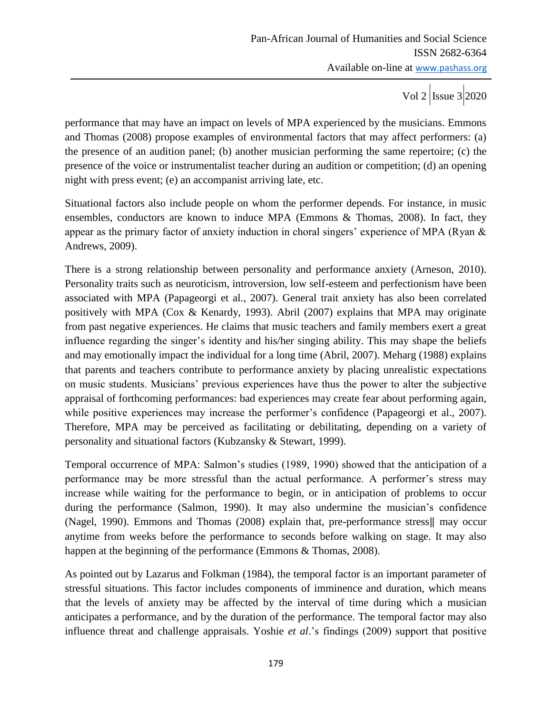Vol 2  $\vert$  Issue 3 2020

performance that may have an impact on levels of MPA experienced by the musicians. Emmons and Thomas (2008) propose examples of environmental factors that may affect performers: (a) the presence of an audition panel; (b) another musician performing the same repertoire; (c) the presence of the voice or instrumentalist teacher during an audition or competition; (d) an opening night with press event; (e) an accompanist arriving late, etc.

Situational factors also include people on whom the performer depends. For instance, in music ensembles, conductors are known to induce MPA (Emmons & Thomas, 2008). In fact, they appear as the primary factor of anxiety induction in choral singers' experience of MPA (Ryan  $\&$ Andrews, 2009).

There is a strong relationship between personality and performance anxiety (Arneson, 2010). Personality traits such as neuroticism, introversion, low self-esteem and perfectionism have been associated with MPA (Papageorgi et al., 2007). General trait anxiety has also been correlated positively with MPA (Cox & Kenardy, 1993). Abril (2007) explains that MPA may originate from past negative experiences. He claims that music teachers and family members exert a great influence regarding the singer"s identity and his/her singing ability. This may shape the beliefs and may emotionally impact the individual for a long time (Abril, 2007). Meharg (1988) explains that parents and teachers contribute to performance anxiety by placing unrealistic expectations on music students. Musicians" previous experiences have thus the power to alter the subjective appraisal of forthcoming performances: bad experiences may create fear about performing again, while positive experiences may increase the performer's confidence (Papageorgi et al., 2007). Therefore, MPA may be perceived as facilitating or debilitating, depending on a variety of personality and situational factors (Kubzansky & Stewart, 1999).

Temporal occurrence of MPA: Salmon's studies (1989, 1990) showed that the anticipation of a performance may be more stressful than the actual performance. A performer's stress may increase while waiting for the performance to begin, or in anticipation of problems to occur during the performance (Salmon, 1990). It may also undermine the musician's confidence (Nagel, 1990). Emmons and Thomas (2008) explain that, pre-performance stress‖ may occur anytime from weeks before the performance to seconds before walking on stage. It may also happen at the beginning of the performance (Emmons & Thomas, 2008).

As pointed out by Lazarus and Folkman (1984), the temporal factor is an important parameter of stressful situations. This factor includes components of imminence and duration, which means that the levels of anxiety may be affected by the interval of time during which a musician anticipates a performance, and by the duration of the performance. The temporal factor may also influence threat and challenge appraisals. Yoshie *et al*."s findings (2009) support that positive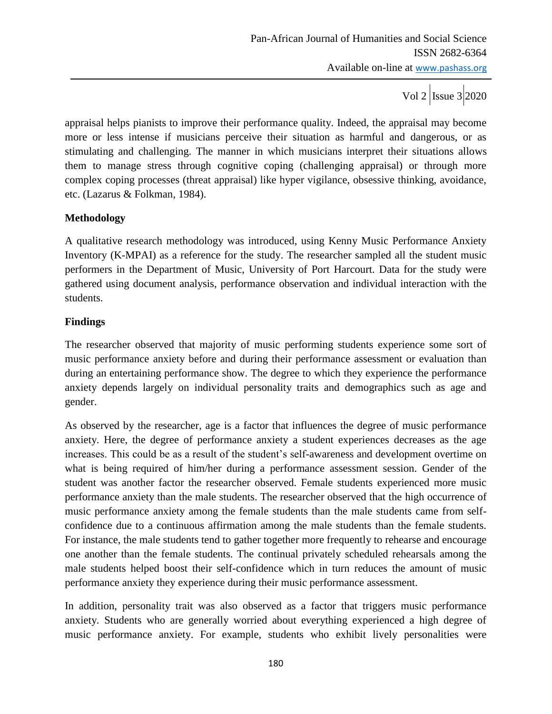appraisal helps pianists to improve their performance quality. Indeed, the appraisal may become more or less intense if musicians perceive their situation as harmful and dangerous, or as stimulating and challenging. The manner in which musicians interpret their situations allows them to manage stress through cognitive coping (challenging appraisal) or through more complex coping processes (threat appraisal) like hyper vigilance, obsessive thinking, avoidance, etc. (Lazarus & Folkman, 1984).

# **Methodology**

A qualitative research methodology was introduced, using Kenny Music Performance Anxiety Inventory (K-MPAI) as a reference for the study. The researcher sampled all the student music performers in the Department of Music, University of Port Harcourt. Data for the study were gathered using document analysis, performance observation and individual interaction with the students.

### **Findings**

The researcher observed that majority of music performing students experience some sort of music performance anxiety before and during their performance assessment or evaluation than during an entertaining performance show. The degree to which they experience the performance anxiety depends largely on individual personality traits and demographics such as age and gender.

As observed by the researcher, age is a factor that influences the degree of music performance anxiety. Here, the degree of performance anxiety a student experiences decreases as the age increases. This could be as a result of the student's self-awareness and development overtime on what is being required of him/her during a performance assessment session. Gender of the student was another factor the researcher observed. Female students experienced more music performance anxiety than the male students. The researcher observed that the high occurrence of music performance anxiety among the female students than the male students came from selfconfidence due to a continuous affirmation among the male students than the female students. For instance, the male students tend to gather together more frequently to rehearse and encourage one another than the female students. The continual privately scheduled rehearsals among the male students helped boost their self-confidence which in turn reduces the amount of music performance anxiety they experience during their music performance assessment.

In addition, personality trait was also observed as a factor that triggers music performance anxiety. Students who are generally worried about everything experienced a high degree of music performance anxiety. For example, students who exhibit lively personalities were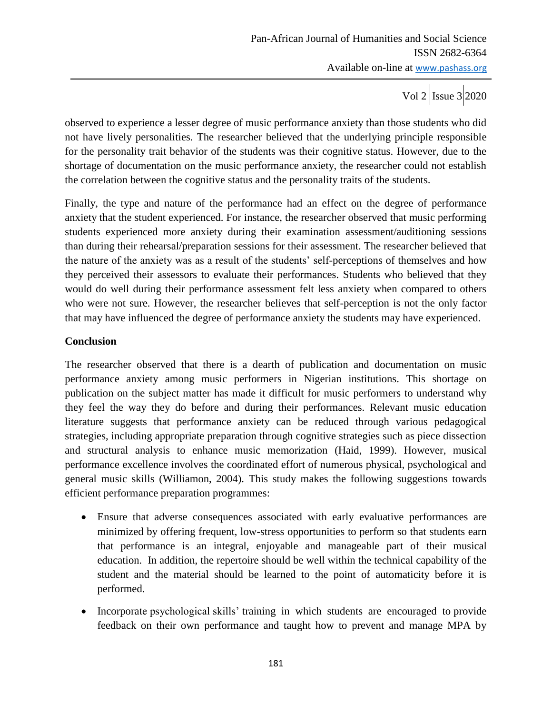observed to experience a lesser degree of music performance anxiety than those students who did not have lively personalities. The researcher believed that the underlying principle responsible for the personality trait behavior of the students was their cognitive status. However, due to the shortage of documentation on the music performance anxiety, the researcher could not establish the correlation between the cognitive status and the personality traits of the students.

Finally, the type and nature of the performance had an effect on the degree of performance anxiety that the student experienced. For instance, the researcher observed that music performing students experienced more anxiety during their examination assessment/auditioning sessions than during their rehearsal/preparation sessions for their assessment. The researcher believed that the nature of the anxiety was as a result of the students" self-perceptions of themselves and how they perceived their assessors to evaluate their performances. Students who believed that they would do well during their performance assessment felt less anxiety when compared to others who were not sure. However, the researcher believes that self-perception is not the only factor that may have influenced the degree of performance anxiety the students may have experienced.

# **Conclusion**

The researcher observed that there is a dearth of publication and documentation on music performance anxiety among music performers in Nigerian institutions. This shortage on publication on the subject matter has made it difficult for music performers to understand why they feel the way they do before and during their performances. Relevant music education literature suggests that performance anxiety can be reduced through various pedagogical strategies, including appropriate preparation through cognitive strategies such as piece dissection and structural analysis to enhance music memorization (Haid, 1999). However, musical performance excellence involves the coordinated effort of numerous physical, psychological and general music skills (Williamon, 2004). This study makes the following suggestions towards efficient performance preparation programmes:

- Ensure that adverse consequences associated with early evaluative performances are minimized by offering frequent, low-stress opportunities to perform so that students earn that performance is an integral, enjoyable and manageable part of their musical education. In addition, the repertoire should be well within the technical capability of the student and the material should be learned to the point of automaticity before it is performed.
- Incorporate psychological skills' training in which students are encouraged to provide feedback on their own performance and taught how to prevent and manage MPA by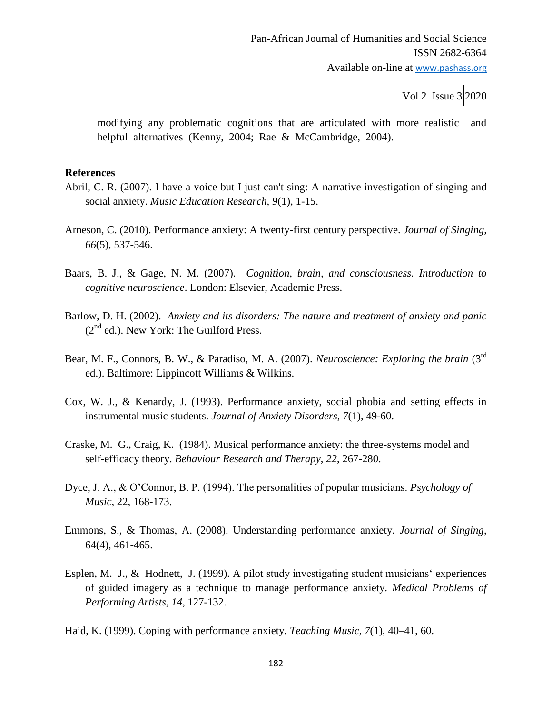modifying any problematic cognitions that are articulated with more realistic and helpful alternatives (Kenny, 2004; Rae & McCambridge, 2004).

#### **References**

- Abril, C. R. (2007). I have a voice but I just can't sing: A narrative investigation of singing and social anxiety. *Music Education Research, 9*(1), 1-15.
- Arneson, C. (2010). Performance anxiety: A twenty-first century perspective. *Journal of Singing, 66*(5), 537-546.
- Baars, B. J., & Gage, N. M. (2007). *Cognition, brain, and consciousness. Introduction to cognitive neuroscience*. London: Elsevier, Academic Press.
- Barlow, D. H. (2002). *Anxiety and its disorders: The nature and treatment of anxiety and panic*  $(2<sup>nd</sup>$  ed.). New York: The Guilford Press.
- Bear, M. F., Connors, B. W., & Paradiso, M. A. (2007). *Neuroscience: Exploring the brain* (3rd ed.). Baltimore: Lippincott Williams & Wilkins.
- Cox, W. J., & Kenardy, J. (1993). Performance anxiety, social phobia and setting effects in instrumental music students. *Journal of Anxiety Disorders, 7*(1), 49-60.
- Craske, M. G., Craig, K. (1984). Musical performance anxiety: the three-systems model and self-efficacy theory. *Behaviour Research and Therapy*, *22*, 267-280.
- Dyce, J. A., & O"Connor, B. P. (1994). The personalities of popular musicians. *Psychology of Music*, 22, 168-173.
- Emmons, S., & Thomas, A. (2008). Understanding performance anxiety. *Journal of Singing*, 64(4), 461-465.
- Esplen, M. J., & Hodnett, J. (1999). A pilot study investigating student musicians' experiences of guided imagery as a technique to manage performance anxiety. *Medical Problems of Performing Artists, 14*, 127-132.
- Haid, K. (1999). Coping with performance anxiety. *Teaching Music, 7*(1), 40–41, 60.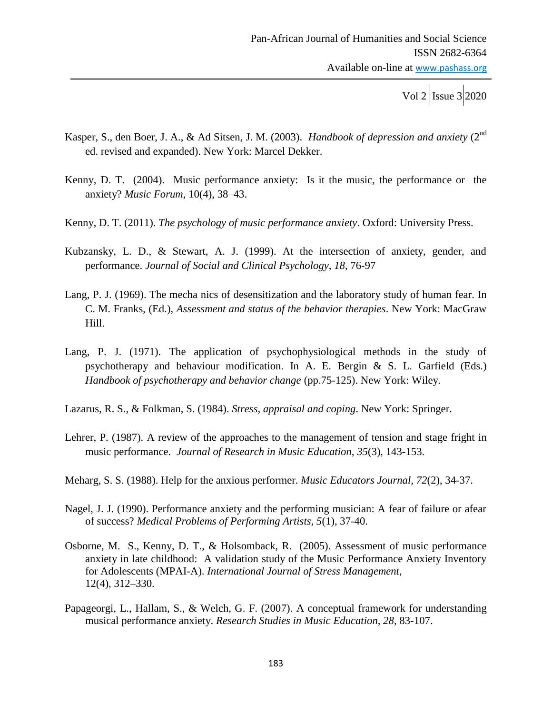Vol 2  $\vert$ Issue 3 2020

- Kasper, S., den Boer, J. A., & Ad Sitsen, J. M. (2003). *Handbook of depression and anxiety* (2nd ed. revised and expanded). New York: Marcel Dekker.
- Kenny, D. T. (2004). Music performance anxiety: Is it the music, the performance or the anxiety? *Music Forum*, 10(4), 38–43.
- Kenny, D. T. (2011). *The psychology of music performance anxiety*. Oxford: University Press.
- Kubzansky, L. D., & Stewart, A. J. (1999). At the intersection of anxiety, gender, and performance. *Journal of Social and Clinical Psychology, 18*, 76-97
- Lang, P. J. (1969). The mecha nics of desensitization and the laboratory study of human fear. In C. M. Franks, (Ed.), *Assessment and status of the behavior therapies*. New York: MacGraw Hill.
- Lang, P. J. (1971). The application of psychophysiological methods in the study of psychotherapy and behaviour modification. In A. E. Bergin & S. L. Garfield (Eds.) *Handbook of psychotherapy and behavior change* (pp.75-125). New York: Wiley.
- Lazarus, R. S., & Folkman, S. (1984). *Stress, appraisal and coping*. New York: Springer.
- Lehrer, P. (1987). A review of the approaches to the management of tension and stage fright in music performance. *Journal of Research in Music Education, 35*(3), 143-153.
- Meharg, S. S. (1988). Help for the anxious performer. *Music Educators Journal, 72*(2), 34-37.
- Nagel, J. J. (1990). Performance anxiety and the performing musician: A fear of failure or afear of success? *Medical Problems of Performing Artists, 5*(1), 37-40.
- Osborne, M. S., Kenny, D. T., & Holsomback, R. (2005). Assessment of music performance anxiety in late childhood: A validation study of the Music Performance Anxiety Inventory for Adolescents (MPAI-A). *International Journal of Stress Management*, 12(4), 312–330.
- Papageorgi, L., Hallam, S., & Welch, G. F. (2007). A conceptual framework for understanding musical performance anxiety. *Research Studies in Music Education, 28*, 83-107.